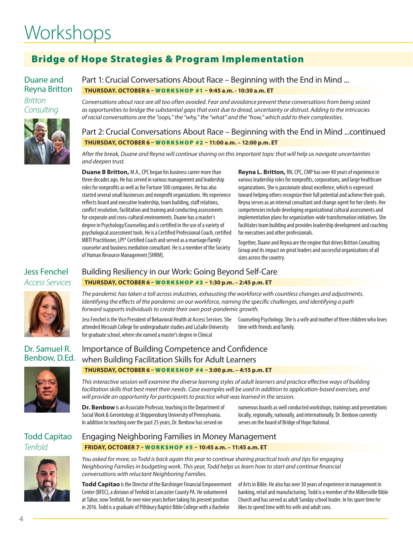# **Workshops**

# Bridge of Hope Strategies & Program Implementation

## Duane and Reyna Britton

*Britton Consulting*



Part 1: Crucial Conversations About Race – Beginning with the End in Mind ... **THURSDAY. OCTOBER 6 –** WORKSHOP #1 **– 9:45 a.m. - 10:30 a.m. ET** 

*Conversations about race are all too often avoided. Fear and avoidance prevent these conversations from being seized as opportunities to bridge the substantial gaps that exist due to dread, uncertainty or distrust. Adding to the intricacies of racial conversations are the "oops," the "why," the "what" and the "how," which add to their complexities.*

Part 2: Crucial Conversations About Race – Beginning with the End in Mind ...continued **THURSDAY, OCTOBER 6 –** WORKSHOP #2 **– 11:00 a.m. – 12:00 p.m. ET**

*After the break, Duane and Reyna will continue sharing on this important topic that will help us navigate uncertainties and deepen trust.* 

**Duane B Britton,** M.A., CPC began his business career more than three decades ago. He has served in various management and leadership roles for nonprofits as well as for Fortune 500 companies. He has also started several small businesses and nonprofit organizations. His experience reflects board and executive leadership, team building, staff relations, conflict resolution, facilitation and training and conducting assessments for corporate and cross-cultural environments. Duane has a master's degree in Psychology/Counseling and is certified in the use of a variety of psychological assessment tools. He is a Certified Professional Coach, certified MBTI Practitioner, LPI® Certified Coach and served as a marriage/family counselor and business mediation consultant. He is a member of the Society of Human Resource Management [SHRM].

**Reyna L. Britton,** RN, CPC, CMP has over 40 years of experience in various leadership roles for nonprofits, corporations, and large healthcare organizations. She is passionate about excellence, which is expressed toward helping others recognize their full potential and achieve their goals. Reyna serves as an internal consultant and change agent for her clients. Her competencies include developing organizational cultural assessments and implementation plans for organization-wide transformation initiatives. She facilitates team building and provides leadership development and coaching for executives and other professionals.

Together, Duane and Reyna are the engine that drives Britton Consulting Group and its impact on great leaders and successful organizations of all sizes across the country.

# Building Resiliency in our Work: Going Beyond Self-Care **THURSDAY, OCTOBER 6 –** WORKSHOP #3 **– 1:30 p.m. – 2:45 p.m. ET**

*The pandemic has taken a toll across industries, exhausting the workforce with countless changes and adjustments. Identifying the effects of the pandemic on our workforce, naming the specific challenges, and identifying a path forward supports individuals to create their own post-pandemic growth.* 

Jess Fenchel is the Vice President of Behavioral Health at Access Services. She Counseling Psychology. She is a wife and mother of three children who loves attended Messiah College for undergraduate studies and LaSalle University for graduate school, where she earned a master's degree in Clinical

time with friends and family.

# Dr. Samuel R. Benbow, D.Ed.



# Importance of Building Competence and Confidence when Building Facilitation Skills for Adult Learners **THURSDAY, OCTOBER 6 –** WORKSHOP #4 **– 3:00 p.m. – 4:15 p.m. ET**

*This interactive session will examine the diverse learning styles of adult learners and practice effective ways of building*  facilitation skills that best meet their needs. Case examples will be used in addition to application-based exercises, and *will provide an opportunity for participants to practice what was learned in the session.*

**Dr. Benbow** is an Associate Professor, teaching in the Department of Social Work & Gerontology at Shippensburg University of Pennsylvania. In addition to teaching over the past 25 years, Dr. Benbow has served on

numerous boards as well conducted workshops, trainings and presentations locally, regionally, nationally, and internationally. Dr. Benbow currently serves on the board of Bridge of Hope National.

# Todd Capitao *Tenfold*



#### Engaging Neighboring Families in Money Management **FRIDAY, OCTOBER 7 –** WORKSHOP #5 **– 10:45 a.m. – 11:45 a.m. ET**

*You asked for more, so Todd is back again this year to continue sharing practical tools and tips for engaging Neighboring Families in budgeting work. This year, Todd helps us learn how to start and continue financial conversations with reluctant Neighboring Families.*

**Todd Capitao** is the Director of the Barshinger Financial Empowerment Center (BFEC), a division of Tenfold in Lancaster County PA. He volunteered at Tabor, now Tenfold, for over nine years before taking his present position in 2016. Todd is a graduate of Pillsbury Baptist Bible College with a Bachelor

of Arts in Bible. He also has over 30 years of experience in management in banking, retail and manufacturing. Todd is a member of the Millersville Bible Church and has served as adult Sunday school leader. In his spare time he likes to spend time with his wife and adult sons.

# Jess Fenchel *Access Services*